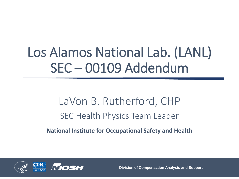# Los Alamos National Lab. (LANL) SEC – 00109 Addendum

#### LaVon B. Rutherford, CHP SEC Health Physics Team Leader

**National Institute for Occupational Safety and Health**



**Division of Compensation Analysis and Support**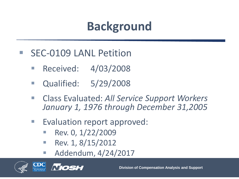- **SEC-0109 LANL Petition** 
	- **Received: 4/03/2008**
	- **Qualified: 5/29/2008**
	- Class Evaluated: *All Service Support Workers January 1, 1976 through December 31,2005*
	- Evaluation report approved:
		- Rev. 0, 1/22/2009
		- Rev. 1,  $8/15/2012$
		- **Addendum, 4/24/2017**



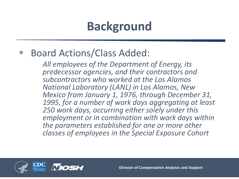#### ■ Board Actions/Class Added:

*All employees of the Department of Energy, its predecessor agencies, and their contractors and subcontractors who worked at the Los Alamos National Laboratory (LANL) in Los Alamos, New Mexico from January 1, 1976, through December 31, 1995, for a number of work days aggregating at least 250 work days, occurring either solely under this employment or in combination with work days within the parameters established for one or more other classes of employees in the Special Exposure Cohort*

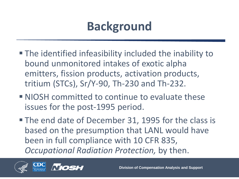- The identified infeasibility included the inability to bound unmonitored intakes of exotic alpha emitters, fission products, activation products, tritium (STCs), Sr/Y-90, Th-230 and Th-232.
- NIOSH committed to continue to evaluate these issues for the post-1995 period.
- **The end date of December 31, 1995 for the class is** based on the presumption that LANL would have been in full compliance with 10 CFR 835, *Occupational Radiation Protection,* by then.

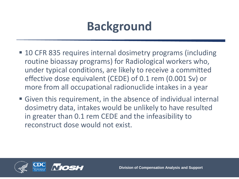- 10 CFR 835 requires internal dosimetry programs (including routine bioassay programs) for Radiological workers who, under typical conditions, are likely to receive a committed effective dose equivalent (CEDE) of 0.1 rem (0.001 Sv) or more from all occupational radionuclide intakes in a year
- Given this requirement, in the absence of individual internal dosimetry data, intakes would be unlikely to have resulted in greater than 0.1 rem CEDE and the infeasibility to reconstruct dose would not exist.

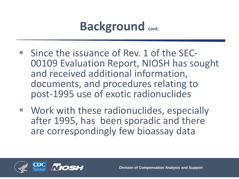#### **Background cont.**

- Since the issuance of Rev. 1 of the SEC-<br>
00109 Evaluation Report, NIOSH has sought and received additional information, documents, and procedures relating to post-1995 use of exotic radionuclides
- **Work with these radionuclides, especially** after 1995, has been sporadic and there are correspondingly few bioassay data

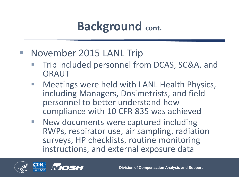# **Background cont.**

#### **November 2015 LANL Trip**

- Trip included personnel from DCAS, SC&A, and **ORAUT**
- Meetings were held with LANL Health Physics, including Managers, Dosimetrists, and field personnel to better understand how compliance with 10 CFR 835 was achieved
- New documents were captured including RWPs, respirator use, air sampling, radiation surveys, HP checklists, routine monitoring instructions, and external exposure data

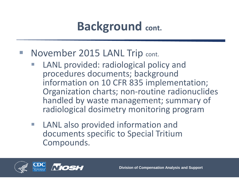## **Background cont.**

#### ■ November 2015 LANL Trip cont.

- LANL provided: radiological policy and procedures documents; background information on 10 CFR 835 implementation; Organization charts; non-routine radionuclides handled by waste management; summary of radiological dosimetry monitoring program
- LANL also provided information and documents specific to Special Tritium Compounds.

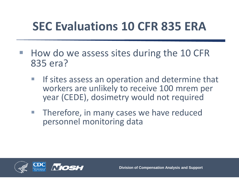# **SEC Evaluations 10 CFR 835 ERA**

- $\blacksquare$  How do we assess sites during the 10 CFR 835 era?
	- If sites assess an operation and determine that workers are unlikely to receive 100 mrem per year (CEDE), dosimetry would not required
	- Therefore, in many cases we have reduced personnel monitoring data

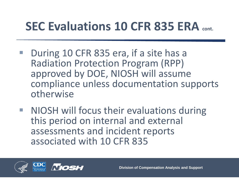#### **SEC Evaluations 10 CFR 835 ERA cont.**

- During 10 CFR 835 era, if a site has a Radiation Protection Program (RPP) approved by DOE, NIOSH will assume compliance unless documentation supports otherwise
- **NIOSH will focus their evaluations during** this period on internal and external assessments and incident reports associated with 10 CFR 835

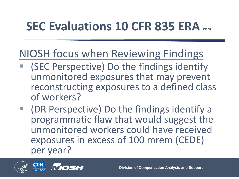### **SEC Evaluations 10 CFR 835 ERA cont.**

#### NIOSH focus when Reviewing Findings

- (SEC Perspective) Do the findings identify unmonitored exposures that may prevent reconstructing exposures to a defined class of workers?
- (DR Perspective) Do the findings identify a programmatic flaw that would suggest the unmonitored workers could have received exposures in excess of 100 mrem (CEDE) per year?

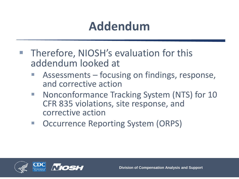### **Addendum**

- **Therefore, NIOSH's evaluation for this** addendum looked at
	- Assessments focusing on findings, response, and corrective action
	- Nonconformance Tracking System (NTS) for 10 CFR 835 violations, site response, and corrective action
	- Occurrence Reporting System (ORPS)

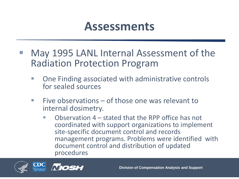#### **Assessments**

- May 1995 LANL Internal Assessment of the Radiation Protection Program
	- One Finding associated with administrative controls for sealed sources
	- Five observations of those one was relevant to internal dosimetry.
		- $\blacksquare$  Observation 4 stated that the RPP office has not coordinated with support organizations to implement site-specific document control and records management programs. Problems were identified with document control and distribution of updated procedures

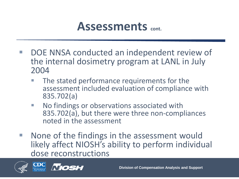#### **Assessments cont.**

- DOE NNSA conducted an independent review of the internal dosimetry program at LANL in July 2004
	- The stated performance requirements for the assessment included evaluation of compliance with 835.702(a)
	- **No findings or observations associated with** 835.702(a), but there were three non-compliances noted in the assessment
- None of the findings in the assessment would likely affect NIOSH's ability to perform individual dose reconstructions



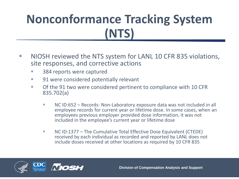- **NIOSH reviewed the NTS system for LANL 10 CFR 835 violations,** site responses, and corrective actions
	- **384 reports were captured**
	- 91 were considered potentially relevant
	- Of the 91 two were considered pertinent to compliance with 10 CFR 835.702(a)
		- NC ID:652 Records: Non-Laboratory exposure data was not included in all employee records for current year or lifetime dose. In some cases, when an employees previous employer provided dose information, it was not included in the employee's current year or lifetime dose
		- NC ID:1377 The Cumulative Total Effective Dose Equivalent (CTEDE) received by each individual as recorded and reported by LANL does not include doses received at other locations as required by 10 CFR 835

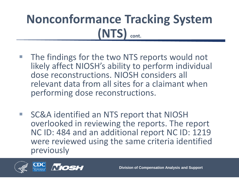- The findings for the two NTS reports would not likely affect NIOSH's ability to perform individual dose reconstructions. NIOSH considers all relevant data from all sites for a claimant when performing dose reconstructions.
- SC&A identified an NTS report that NIOSH overlooked in reviewing the reports. The report NC ID: 484 and an additional report NC ID: 1219 were reviewed using the same criteria identified previously

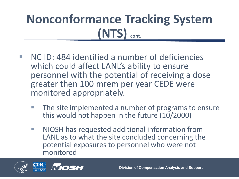- NC ID: 484 identified a number of deficiencies which could affect LANL's ability to ensure personnel with the potential of receiving a dose greater then 100 mrem per year CEDE were monitored appropriately.
	- The site implemented a number of programs to ensure this would not happen in the future (10/2000)
	- **NIOSH** has requested additional information from LANL as to what the site concluded concerning the potential exposures to personnel who were not monitored

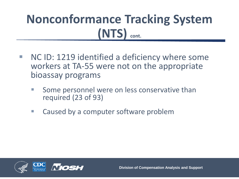- NC ID: 1219 identified a deficiency where some workers at TA-55 were not on the appropriate bioassay programs
	- Some personnel were on less conservative than required (23 of 93)
	- **E** Caused by a computer software problem

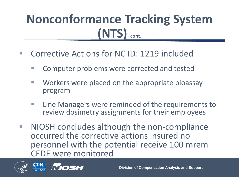- Corrective Actions for NC ID: 1219 included
	- **E** Computer problems were corrected and tested
	- **E** Workers were placed on the appropriate bioassay program
	- **E** Line Managers were reminded of the requirements to review dosimetry assignments for their employees
- NIOSH concludes although the non-compliance occurred the corrective actions insured no personnel with the potential receive 100 mrem CEDE were monitored



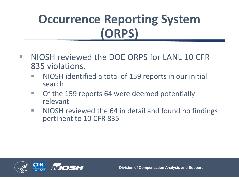# **Occurrence Reporting System (ORPS)**

- NIOSH reviewed the DOE ORPS for LANL 10 CFR 835 violations.
	- NIOSH identified a total of 159 reports in our initial search
	- **Of the 159 reports 64 were deemed potentially** relevant
	- **NIOSH reviewed the 64 in detail and found no findings** pertinent to 10 CFR 835

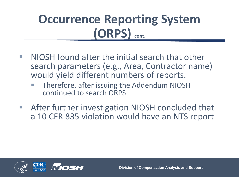### **Occurrence Reporting System (ORPS) cont.**

- $\blacksquare$  NIOSH found after the initial search that other search parameters (e.g., Area, Contractor name) would yield different numbers of reports.
	- Therefore, after issuing the Addendum NIOSH continued to search ORPS
- After further investigation NIOSH concluded that a 10 CFR 835 violation would have an NTS report

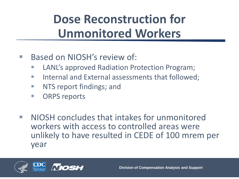# **Dose Reconstruction for Unmonitored Workers**

- Based on NIOSH's review of:
	- LANL's approved Radiation Protection Program;
	- **Internal and External assessments that followed;**
	- **NTS report findings; and**
	- **CORPS reports**
- NIOSH concludes that intakes for unmonitored workers with access to controlled areas were unlikely to have resulted in CEDE of 100 mrem per year

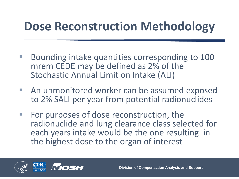#### **Dose Reconstruction Methodology**

- Bounding intake quantities corresponding to 100 mrem CEDE may be defined as 2% of the Stochastic Annual Limit on Intake (ALI)
- **An unmonitored worker can be assumed exposed** to 2% SALI per year from potential radionuclides
- For purposes of dose reconstruction, the radionuclide and lung clearance class selected for each years intake would be the one resulting in the highest dose to the organ of interest

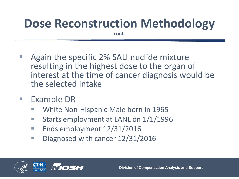# **Dose Reconstruction Methodology**

**cont.**

- Again the specific 2% SALI nuclide mixture resulting in the highest dose to the organ of interest at the time of cancer diagnosis would be the selected intake
- **Example DR** 
	- White Non-Hispanic Male born in 1965
	- Starts employment at LANL on  $1/1/1996$
	- **Ends employment 12/31/2016**
	- Diagnosed with cancer 12/31/2016

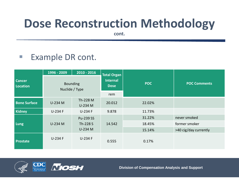#### **Dose Reconstruction Methodology**

**cont.**

#### **Example DR cont.**

| <b>Cancer</b><br>Location | 1996 - 2009                       | $2010 - 2016$                    | <b>Total Organ</b>             |            |                       |
|---------------------------|-----------------------------------|----------------------------------|--------------------------------|------------|-----------------------|
|                           | <b>Bounding</b><br>Nuclide / Type |                                  | <b>Internal</b><br><b>Dose</b> | <b>POC</b> | <b>POC Comments</b>   |
|                           |                                   |                                  | rem                            |            |                       |
| <b>Bone Surface</b>       | U-234 M                           | Th-228 M<br>U-234 M              | 20.012                         | 22.02%     |                       |
| <b>Kidney</b>             | U-234 F                           | U-234 F                          | 9.878                          | 11.73%     |                       |
| Lung                      | U-234 M                           | Pu-239 SS<br>Th-228 S<br>U-234 M | 14.542                         | 31.22%     | never smoked          |
|                           |                                   |                                  |                                | 18.45%     | former smoker         |
|                           |                                   |                                  |                                | 15.14%     | >40 cig/day currently |
| <b>Prostate</b>           | U-234 F                           | U-234 F                          | 0.555                          | 0.17%      |                       |



**Division of Compensation Analysis and Support**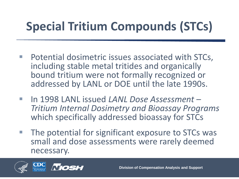# **Special Tritium Compounds (STCs)**

- Potential dosimetric issues associated with STCs, including stable metal tritides and organically bound tritium were not formally recognized or addressed by LANL or DOE until the late 1990s.
- In 1998 LANL issued *LANL Dose Assessment – Tritium Internal Dosimetry and Bioassay Programs*  which specifically addressed bioassay for STCs
- **The potential for significant exposure to STCs was** small and dose assessments were rarely deemed necessary.

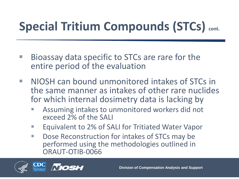# **Special Tritium Compounds (STCs) cont.**

- Bioassay data specific to STCs are rare for the entire period of the evaluation
- NIOSH can bound unmonitored intakes of STCs in the same manner as intakes of other rare nuclides for which internal dosimetry data is lacking by
	- Assuming intakes to unmonitored workers did not exceed 2% of the SALI
	- **Example 1 Figure 1 Figure 1 Figure 1 Figure 1 Figure 1 Figure 2% of SALI for Tritiated Water Vapor**
	- **Dose Reconstruction for intakes of STCs may be** performed using the methodologies outlined in ORAUT-OTIB-0066

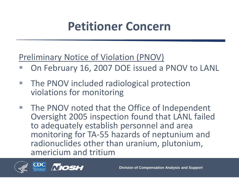#### **Petitioner Concern**

#### Preliminary Notice of Violation (PNOV)

- On February 16, 2007 DOE issued a PNOV to LANL
- **The PNOV included radiological protection** violations for monitoring
- The PNOV noted that the Office of Independent Oversight 2005 inspection found that LANL failed to adequately establish personnel and area monitoring for TA-55 hazards of neptunium and radionuclides other than uranium, plutonium, americium and tritium

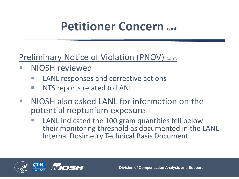#### **Petitioner Concern cont.**

#### Preliminary Notice of Violation (PNOV) cont.

- **NIOSH reviewed** 
	- LANL responses and corrective actions
	- **NTS reports related to LANL**
- NIOSH also asked LANL for information on the potential neptunium exposure
	- LANL indicated the 100 gram quantities fell below their monitoring threshold as documented in the LANL Internal Dosimetry Technical Basis Document

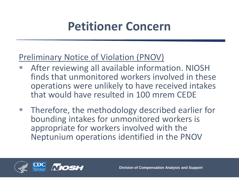#### **Petitioner Concern**

#### Preliminary Notice of Violation (PNOV)

- After reviewing all available information. NIOSH finds that unmonitored workers involved in these operations were unlikely to have received intakes that would have resulted in 100 mrem CEDE
- Therefore, the methodology described earlier for bounding intakes for unmonitored workers is appropriate for workers involved with the Neptunium operations identified in the PNOV

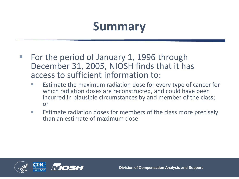#### **Summary**

- For the period of January 1, 1996 through December 31, 2005, NIOSH finds that it has access to sufficient information to:
	- Estimate the maximum radiation dose for every type of cancer for which radiation doses are reconstructed, and could have been incurred in plausible circumstances by and member of the class; or
	- **Estimate radiation doses for members of the class more precisely** than an estimate of maximum dose.

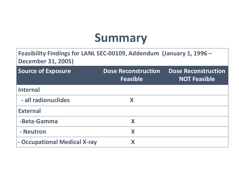#### **Summary**

| Feasibility Findings for LANL SEC-00109, Addendum (January 1, 1996 -<br><b>December 31, 2005)</b> |                                               |                                                   |  |  |  |
|---------------------------------------------------------------------------------------------------|-----------------------------------------------|---------------------------------------------------|--|--|--|
| <b>Source of Exposure</b>                                                                         | <b>Dose Reconstruction</b><br><b>Feasible</b> | <b>Dose Reconstruction</b><br><b>NOT Feasible</b> |  |  |  |
| <b>Internal</b>                                                                                   |                                               |                                                   |  |  |  |
| - all radionuclides                                                                               | X                                             |                                                   |  |  |  |
| <b>External</b>                                                                                   |                                               |                                                   |  |  |  |
| -Beta-Gamma                                                                                       | X                                             |                                                   |  |  |  |
| - Neutron                                                                                         | X                                             |                                                   |  |  |  |
| - Occupational Medical X-ray                                                                      | X                                             |                                                   |  |  |  |